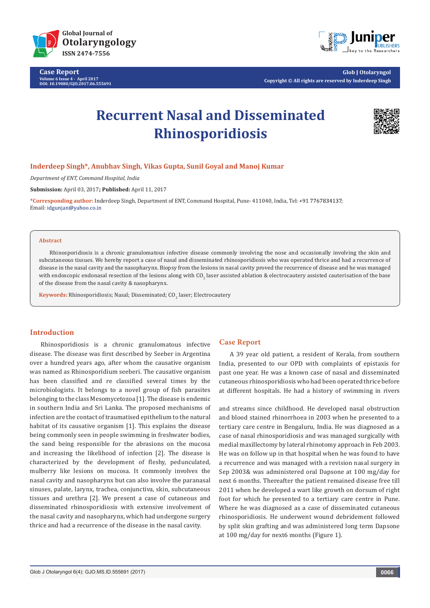

**Case Report Volume 6 Issue 4 - April 2017 DOI: [10.19080/GJO.2017.06.555691](http://dx.doi.org/10.19080/GJO.2017.06.555691)**



**Glob J Otolaryngol Copyright © All rights are reserved by Inderdeep Singh**

# **Recurrent Nasal and Disseminated Rhinosporidiosis**



# **Inderdeep Singh\*, Anubhav Singh, Vikas Gupta, Sunil Goyal and Manoj Kumar**

*Department of ENT, Command Hospital, India*

**Submission:** April 03, 2017**; Published:** April 11, 2017

**\*Corresponding author:** Inderdeep Singh, Department of ENT, Command Hospital, Pune- 411040, India, Tel: ; Email: idgunjan@yahoo.co.in

#### **Abstract**

Rhinosporidiosis is a chronic granulomatous infective disease commonly involving the nose and occasionally involving the skin and subcutaneous tissues. We hereby report a case of nasal and disseminated rhinosporidiosis who was operated thrice and had a recurrence of disease in the nasal cavity and the nasopharynx. Biopsy from the lesions in nasal cavity proved the recurrence of disease and he was managed with endoscopic endonasal resection of the lesions along with CO<sub>2</sub> laser assisted ablation & electrocautery assisted cauterisation of the base of the disease from the nasal cavity & nasopharynx.

 ${\boldsymbol{\mathrm{Keywords}}}$ : Rhinosporidiosis; Nasal; Disseminated;  $\boldsymbol{\mathrm{CO}_2}$  laser; Electrocautery

# **Introduction**

Rhinosporidiosis is a chronic granulomatous infective disease. The disease was first described by Seeber in Argentina over a hundred years ago, after whom the causative organism was named as Rhinosporidium seeberi. The causative organism has been classified and re classified several times by the microbiologists. It belongs to a novel group of fish parasites belonging to the class Mesomycetozoa [1]. The disease is endemic in southern India and Sri Lanka. The proposed mechanisms of infection are the contact of traumatised epithelium to the natural habitat of its causative organism [1]. This explains the disease being commonly seen in people swimming in freshwater bodies, the sand being responsible for the abrasions on the mucosa and increasing the likelihood of infection [2]. The disease is characterized by the development of fleshy, pedunculated, mulberry like lesions on mucosa. It commonly involves the nasal cavity and nasopharynx but can also involve the paranasal sinuses, palate, larynx, trachea, conjunctiva, skin, subcutaneous tissues and urethra [2]. We present a case of cutaneous and disseminated rhinosporidiosis with extensive involvement of the nasal cavity and nasopharynx, which had undergone surgery thrice and had a recurrence of the disease in the nasal cavity.

### **Case Report**

A 39 year old patient, a resident of Kerala, from southern India, presented to our OPD with complaints of epistaxis for past one year. He was a known case of nasal and disseminated cutaneous rhinosporidiosis who had been operated thrice before at different hospitals. He had a history of swimming in rivers

and streams since childhood. He developed nasal obstruction and blood stained rhinorrhoea in 2003 when he presented to a tertiary care centre in Bengaluru, India. He was diagnosed as a case of nasal rhinosporidiosis and was managed surgically with medial maxillectomy by lateral rhinotomy approach in Feb 2003. He was on follow up in that hospital when he was found to have a recurrence and was managed with a revision nasal surgery in Sep 2003& was administered oral Dapsone at 100 mg/day for next 6 months. Thereafter the patient remained disease free till 2011 when he developed a wart like growth on dorsum of right foot for which he presented to a tertiary care centre in Pune. Where he was diagnosed as a case of disseminated cutaneous rhinosporidiosis. He underwent wound debridement followed by split skin grafting and was administered long term Dapsone at 100 mg/day for next6 months (Figure 1).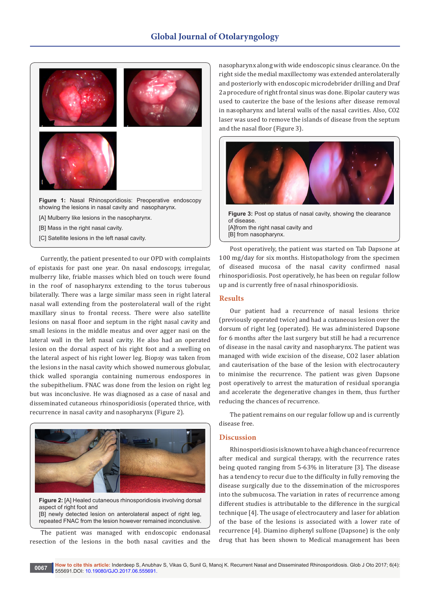

[A] Mulberry like lesions in the nasopharynx.

[B] Mass in the right nasal cavity.

[C] Satellite lesions in the left nasal cavity.

Currently, the patient presented to our OPD with complaints of epistaxis for past one year. On nasal endoscopy, irregular, mulberry like, friable masses which bled on touch were found in the roof of nasopharynx extending to the torus tuberous bilaterally. There was a large similar mass seen in right lateral nasal wall extending from the posterolateral wall of the right maxillary sinus to frontal recess. There were also satellite lesions on nasal floor and septum in the right nasal cavity and small lesions in the middle meatus and over agger nasi on the lateral wall in the left nasal cavity. He also had an operated lesion on the dorsal aspect of his right foot and a swelling on the lateral aspect of his right lower leg. Biopsy was taken from the lesions in the nasal cavity which showed numerous globular, thick walled sporangia containing numerous endospores in the subepithelium. FNAC was done from the lesion on right leg but was inconclusive. He was diagnosed as a case of nasal and disseminated cutaneous rhinosporidiosis (operated thrice, with recurrence in nasal cavity and nasopharynx (Figure 2).



**Figure 2:** [A] Healed cutaneous rhinosporidiosis involving dorsal aspect of right foot and [B] newly detected lesion on anterolateral aspect of right leg, repeated FNAC from the lesion however remained inconclusive.

The patient was managed with endoscopic endonasal resection of the lesions in the both nasal cavities and the nasopharynx along with wide endoscopic sinus clearance. On the right side the medial maxillectomy was extended anterolaterally and posteriorly with endoscopic microdebrider drilling and Draf 2a procedure of right frontal sinus was done. Bipolar cautery was used to cauterize the base of the lesions after disease removal in nasopharynx and lateral walls of the nasal cavities. Also, CO2 laser was used to remove the islands of disease from the septum and the nasal floor (Figure 3).



**Figure 3:** Post op status of nasal cavity, showing the clearance of disease. [A]from the right nasal cavity and [B] from nasopharynx.

Post operatively, the patient was started on Tab Dapsone at 100 mg/day for six months. Histopathology from the specimen of diseased mucosa of the nasal cavity confirmed nasal rhinosporidiosis. Post operatively, he has been on regular follow up and is currently free of nasal rhinosporidiosis.

# **Results**

Our patient had a recurrence of nasal lesions thrice (previously operated twice) and had a cutaneous lesion over the dorsum of right leg (operated). He was administered Dapsone for 6 months after the last surgery but still he had a recurrence of disease in the nasal cavity and nasopharynx. The patient was managed with wide excision of the disease, CO2 laser ablation and cauterisation of the base of the lesion with electrocautery to minimise the recurrence. The patient was given Dapsone post operatively to arrest the maturation of residual sporangia and accelerate the degenerative changes in them, thus further reducing the chances of recurrence.

The patient remains on our regular follow up and is currently disease free.

#### **Discussion**

Rhinosporidiosis is known to have a high chance of recurrence after medical and surgical therapy, with the recurrence rates being quoted ranging from 5-63% in literature [3]. The disease has a tendency to recur due to the difficulty in fully removing the disease surgically due to the dissemination of the microspores into the submucosa. The variation in rates of recurrence among different studies is attributable to the difference in the surgical technique [4]. The usage of electrocautery and laser for ablation of the base of the lesions is associated with a lower rate of recurrence [4]. Diamino diphenyl sulfone (Dapsone) is the only drug that has been shown to Medical management has been